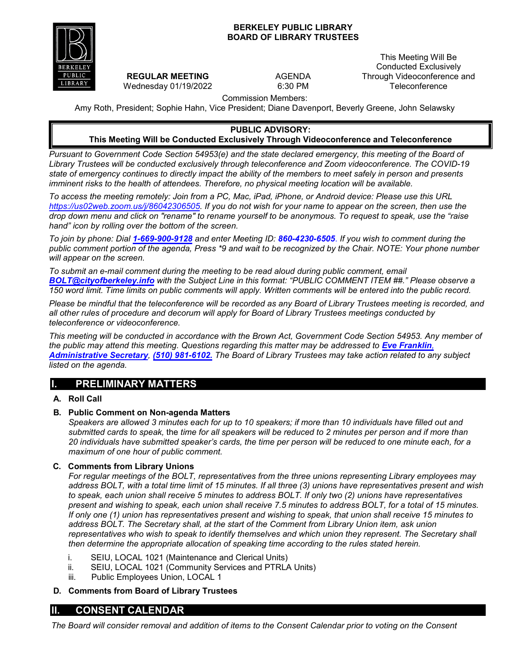### **BERKELEY PUBLIC LIBRARY BOARD OF LIBRARY TRUSTEES**



**REGULAR MEETING** Wednesday 01/19/2022 AGENDA 6:30 PM

This Meeting Will Be Conducted Exclusively Through Videoconference and **Teleconference** 

Commission Members:

Amy Roth, President; Sophie Hahn, Vice President; Diane Davenport, Beverly Greene, John Selawsky

#### **PUBLIC ADVISORY:**

#### **This Meeting Will be Conducted Exclusively Through Videoconference and Teleconference**

*Pursuant to Government Code Section 54953(e) and the state declared emergency, this meeting of the Board of Library Trustees will be conducted exclusively through teleconference and Zoom videoconference. The COVID-19 state of emergency continues to directly impact the ability of the members to meet safely in person and presents imminent risks to the health of attendees. Therefore, no physical meeting location will be available.* 

*To access the meeting remotely: Join from a PC, Mac, iPad, iPhone, or Android device: Please use this URL [https://us02web.zoom.us/j/86042306505.](https://us02web.zoom.us/j/86042306505) If you do not wish for your name to appear on the screen, then use the drop down menu and click on "rename" to rename yourself to be anonymous. To request to speak, use the "raise hand" icon by rolling over the bottom of the screen.*

*To join by phone: Dial 1-669-900-9128 and enter Meeting ID: 860-4230-6505*. *If you wish to comment during the public comment portion of the agenda, Press \*9 and wait to be recognized by the Chair. NOTE: Your phone number will appear on the screen.*

*To submit an e-mail comment during the meeting to be read aloud during public comment, email [BOLT@cityofberkeley.info](mailto:BOLT@cityofberkeley.info) with the Subject Line in this format: "PUBLIC COMMENT ITEM ##." Please observe a 150 word limit. Time limits on public comments will apply. Written comments will be entered into the public record.*

*Please be mindful that the teleconference will be recorded as any Board of Library Trustees meeting is recorded, and all other rules of procedure and decorum will apply for Board of Library Trustees meetings conducted by teleconference or videoconference.*

*This meeting will be conducted in accordance with the Brown Act, Government Code Section 54953. Any member of the public may attend this meeting. Questions regarding this matter may be addressed to [Eve Franklin](mailto:BOLT@cityofberkeley.info), [Administrative Secretary](mailto:BOLT@cityofberkeley.info), (510) 981-6102. The Board of Library Trustees may take action related to any subject listed on the agenda.*

# **I. PRELIMINARY MATTERS**

## **A. Roll Call**

#### **B. Public Comment on Non-agenda Matters**

*Speakers are allowed 3 minutes each for up to 10 speakers; if more than 10 individuals have filled out and submitted cards to speak,* the *time for all speakers will be reduced to 2 minutes per person and if more than 20 individuals have submitted speaker's cards, the time per person will be reduced to one minute each, for a maximum of one hour of public comment.*

#### **C. Comments from Library Unions**

*For regular meetings of the BOLT, representatives from the three unions representing Library employees may address BOLT, with a total time limit of 15 minutes. If all three (3) unions have representatives present and wish to speak, each union shall receive 5 minutes to address BOLT. If only two (2) unions have representatives present and wishing to speak, each union shall receive 7.5 minutes to address BOLT, for a total of 15 minutes. If only one (1) union has representatives present and wishing to speak, that union shall receive 15 minutes to address BOLT. The Secretary shall, at the start of the Comment from Library Union item, ask union representatives who wish to speak to identify themselves and which union they represent. The Secretary shall then determine the appropriate allocation of speaking time according to the rules stated herein.*

- i. SEIU, LOCAL 1021 (Maintenance and Clerical Units)
- ii. SEIU, LOCAL 1021 (Community Services and PTRLA Units)
- iii. Public Employees Union, LOCAL 1

#### **D. Comments from Board of Library Trustees**

## **II. CONSENT CALENDAR**

*The Board will consider removal and addition of items to the Consent Calendar prior to voting on the Consent*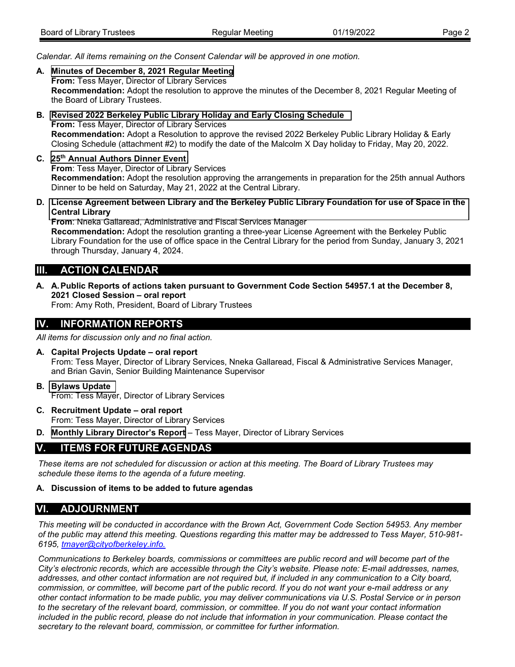| Board of Library Trustees | Regular Meeting | 01/19/2022 | Page 2 |
|---------------------------|-----------------|------------|--------|

*Calendar. All items remaining on the Consent Calendar will be approved in one motion.*

- **A. [Minutes of December 8,](#page-4-0) 2021 Regular Meeting From:** Tess Mayer, Director of Library Services **Recommendation:** Adopt the resolution to approve the minutes of the December 8, 2021 Regular Meeting of the Board of Library Trustees.
- **B. Revised [2022 Berkeley Public Library Holiday and Early](#page-7-0) Closing Schedule From:** Tess Mayer, Director of Library Services **Recommendation:** Adopt a Resolution to approve the revised 2022 Berkeley Public Library Holiday & Early Closing Schedule (attachment #2) to modify the date of the Malcolm X Day holiday to Friday, May 20, 2022.
- **C. 25th Annual [Authors Dinner](#page-12-0) Event From**: Tess Mayer, Director of Library Services **Recommendation:** Adopt the resolution approving the arrangements in preparation for the 25th annual Authors Dinner to be held on Saturday, May 21, 2022 at the Central Library.
- **D. License Agreement between Library and the Berkeley [Public Library Foundation for use of Space in the](#page-15-0) Central Library**

**From**: Nneka Gallaread, Administrative and Fiscal Services Manager **Recommendation:** Adopt the resolution granting a three-year License Agreement with the Berkeley Public Library Foundation for the use of office space in the Central Library for the period from Sunday, January 3, 2021 through Thursday, January 4, 2024.

# **III. ACTION CALENDAR**

**A. A.Public Reports of actions taken pursuant to Government Code Section 54957.1 at the December 8, 2021 Closed Session – oral report**

From: Amy Roth, President, Board of Library Trustees

# **IV. INFORMATION REPORTS**

*All items for discussion only and no final action.*

- **A. Capital Projects Update oral report** From: Tess Mayer, Director of Library Services, Nneka Gallaread, Fiscal & Administrative Services Manager, and Brian Gavin, Senior Building Maintenance Supervisor
- **B. [Bylaws Update](#page-18-0)** From: Tess Mayer, Director of Library Services
- **C. Recruitment Update oral report** From: Tess Mayer, Director of Library Services
- **D. Monthly Library Director's Report**  Tess Mayer, Director of Library Services

# **V. ITEMS FOR FUTURE AGENDAS**

*These items are not scheduled for discussion or action at this meeting. The Board of Library Trustees may schedule these items to the agenda of a future meeting.*

### **A. Discussion of items to be added to future agendas**

# **VI. ADJOURNMENT**

*This meeting will be conducted in accordance with the Brown Act, Government Code Section 54953. Any member of the public may attend this meeting. Questions regarding this matter may be addressed to Tess Mayer, 510-981- 6195, [tmayer@cityofberkeley.info.](mailto:tmayer@cityofberkeley.info.)*

*Communications to Berkeley boards, commissions or committees are public record and will become part of the City's electronic records, which are accessible through the City's website. Please note: E-mail addresses, names,*  addresses, and other contact information are not required but, if included in any communication to a City board, *commission, or committee, will become part of the public record. If you do not want your e-mail address or any other contact information to be made public, you may deliver communications via U.S. Postal Service or in person to the secretary of the relevant board, commission, or committee. If you do not want your contact information included in the public record, please do not include that information in your communication. Please contact the secretary to the relevant board, commission, or committee for further information.*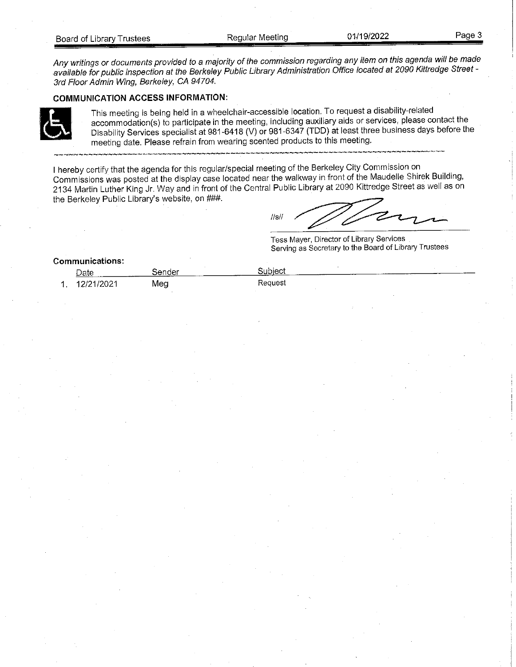Any writings or documents provided to a majority of the commission regarding any item on this agenda will be made available for public inspection at the Berkeley Public Library Administration Office located at 2090 Kittredge Street -3rd Floor Admin Wing, Berkeley, CA 94704.

#### **COMMUNICATION ACCESS INFORMATION:**



This meeting is being held in a wheelchair-accessible location. To request a disability-related accommodation(s) to participate in the meeting, including auxiliary aids or services, please contact the Disability Services specialist at 981-6418 (V) or 981-6347 (TDD) at least three business days before the meeting date. Please refrain from wearing scented products to this meeting.

I hereby certify that the agenda for this regular/special meeting of the Berkeley City Commission on Commissions was posted at the display case located near the walkway in front of the Maudelle Shirek Building, 2134 Martin Luther King Jr. Way and in front of the Central Public Library at 2090 Kittredge Street as well as on the Berkeley Public Library's website, on ###.

 $\frac{1}{\text{S}}$ 

Tess Mayer, Director of Library Services Serving as Secretary to the Board of Library Trustees

#### **Communications:**

| Date       | sender | Subject |  |
|------------|--------|---------|--|
| 12/21/2021 | Meg    | Request |  |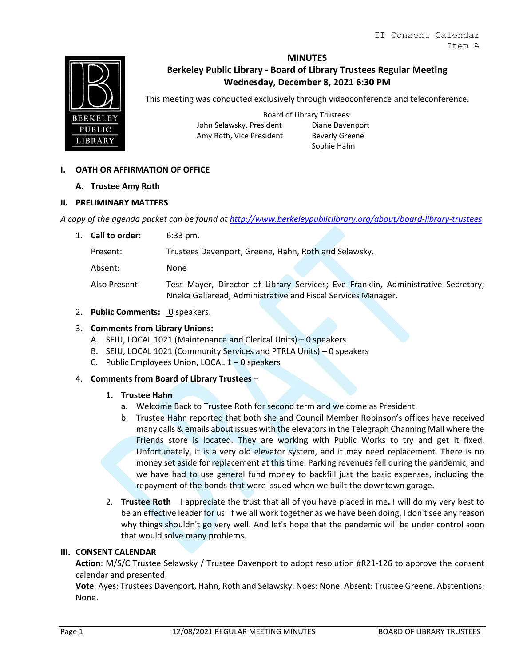<span id="page-4-0"></span>

## **MINUTES Berkeley Public Library - Board of Library Trustees Regular Meeting Wednesday, December 8, 2021 6:30 PM**

This meeting was conducted exclusively through videoconference and teleconference.

Board of Library Trustees: John Selawsky, President Diane Davenport Amy Roth, Vice President Beverly Greene

Sophie Hahn

## **I. OATH OR AFFIRMATION OF OFFICE**

#### **A. Trustee Amy Roth**

#### **II. PRELIMINARY MATTERS**

*A copy of the agenda packet can be found at<http://www.berkeleypubliclibrary.org/about/board-library-trustees>*

| 1. Call to order: | $6:33 \text{ pm}$ .                                                                                                                               |
|-------------------|---------------------------------------------------------------------------------------------------------------------------------------------------|
| Present:          | Trustees Davenport, Greene, Hahn, Roth and Selawsky.                                                                                              |
| Absent:           | None                                                                                                                                              |
| Also Present:     | Tess Mayer, Director of Library Services; Eve Franklin, Administrative Secretary;<br>Nneka Gallaread, Administrative and Fiscal Services Manager. |

2. **Public Comments: 0** speakers.

#### 3. **Comments from Library Unions:**

- A. SEIU, LOCAL 1021 (Maintenance and Clerical Units) 0 speakers
- B. SEIU, LOCAL 1021 (Community Services and PTRLA Units) 0 speakers
- C. Public Employees Union, LOCAL 1 0 speakers

#### 4. **Comments from Board of Library Trustees** –

#### **1. Trustee Hahn**

- a. Welcome Back to Trustee Roth for second term and welcome as President.
- b. Trustee Hahn reported that both she and Council Member Robinson's offices have received many calls & emails about issues with the elevators in the Telegraph Channing Mall where the Friends store is located. They are working with Public Works to try and get it fixed. Unfortunately, it is a very old elevator system, and it may need replacement. There is no money set aside for replacement at this time. Parking revenues fell during the pandemic, and we have had to use general fund money to backfill just the basic expenses, including the repayment of the bonds that were issued when we built the downtown garage.
- 2. **Trustee Roth** I appreciate the trust that all of you have placed in me**.** I will do my very best to be an effective leader for us. If we all work together as we have been doing, I don't see any reason why things shouldn't go very well. And let's hope that the pandemic will be under control soon that would solve many problems.

#### **III. CONSENT CALENDAR**

**Action**: M/S/C Trustee Selawsky / Trustee Davenport to adopt resolution #R21-126 to approve the consent calendar and presented.

**Vote**: Ayes: Trustees Davenport, Hahn, Roth and Selawsky. Noes: None. Absent: Trustee Greene. Abstentions: None.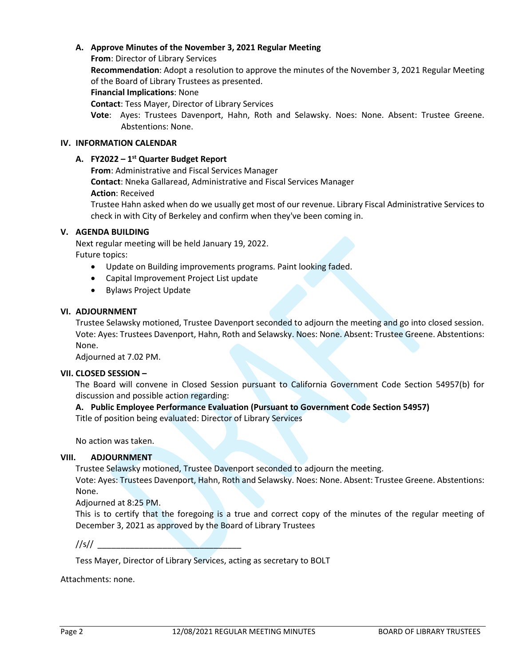## **A. Approve Minutes of the November 3, 2021 Regular Meeting**

**From**: Director of Library Services

**Recommendation**: Adopt a resolution to approve the minutes of the November 3, 2021 Regular Meeting of the Board of Library Trustees as presented.

**Financial Implications**: None

**Contact**: Tess Mayer, Director of Library Services

**Vote**: Ayes: Trustees Davenport, Hahn, Roth and Selawsky. Noes: None. Absent: Trustee Greene. Abstentions: None.

#### **IV. INFORMATION CALENDAR**

#### **A. FY2022 – 1st Quarter Budget Report**

**From**: Administrative and Fiscal Services Manager

**Contact**: Nneka Gallaread, Administrative and Fiscal Services Manager

**Action**: Received

Trustee Hahn asked when do we usually get most of our revenue. Library Fiscal Administrative Services to check in with City of Berkeley and confirm when they've been coming in.

#### **V. AGENDA BUILDING**

Next regular meeting will be held January 19, 2022. Future topics:

- Update on Building improvements programs. Paint looking faded.
- Capital Improvement Project List update
- Bylaws Project Update

#### **VI. ADJOURNMENT**

Trustee Selawsky motioned, Trustee Davenport seconded to adjourn the meeting and go into closed session. Vote: Ayes: Trustees Davenport, Hahn, Roth and Selawsky. Noes: None. Absent: Trustee Greene. Abstentions: None.

Adjourned at 7.02 PM.

#### **VII. CLOSED SESSION –**

The Board will convene in Closed Session pursuant to California Government Code Section 54957(b) for discussion and possible action regarding:

#### **A. Public Employee Performance Evaluation (Pursuant to Government Code Section 54957)**

Title of position being evaluated: Director of Library Services

No action was taken.

#### **VIII. ADJOURNMENT**

Trustee Selawsky motioned, Trustee Davenport seconded to adjourn the meeting.

Vote: Ayes: Trustees Davenport, Hahn, Roth and Selawsky. Noes: None. Absent: Trustee Greene. Abstentions: None.

Adjourned at 8:25 PM.

This is to certify that the foregoing is a true and correct copy of the minutes of the regular meeting of December 3, 2021 as approved by the Board of Library Trustees

//s// \_\_\_\_\_\_\_\_\_\_\_\_\_\_\_\_\_\_\_\_\_\_\_\_\_\_\_\_\_\_\_

Tess Mayer, Director of Library Services, acting as secretary to BOLT

Attachments: none.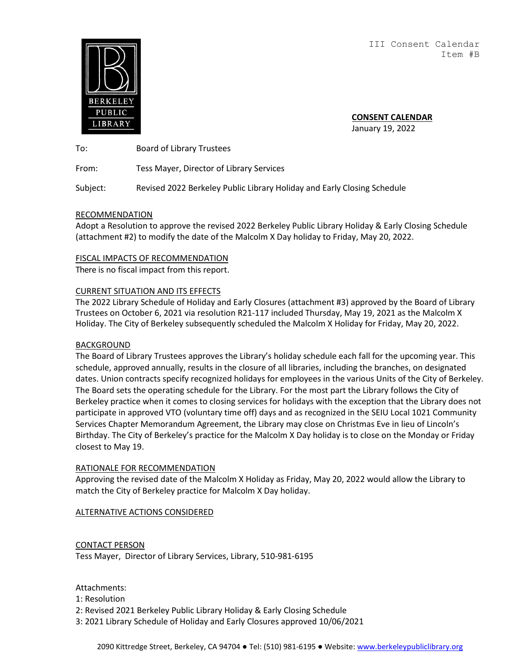III Consent Calendar Item #B

<span id="page-7-0"></span>

**CONSENT CALENDAR** January 19, 2022

To: Board of Library Trustees

From: Tess Mayer, Director of Library Services

Subject: Revised 2022 Berkeley Public Library Holiday and Early Closing Schedule

#### RECOMMENDATION

Adopt a Resolution to approve the revised 2022 Berkeley Public Library Holiday & Early Closing Schedule (attachment #2) to modify the date of the Malcolm X Day holiday to Friday, May 20, 2022.

#### FISCAL IMPACTS OF RECOMMENDATION

There is no fiscal impact from this report.

#### CURRENT SITUATION AND ITS EFFECTS

The 2022 Library Schedule of Holiday and Early Closures (attachment #3) approved by the Board of Library Trustees on October 6, 2021 via resolution R21-117 included Thursday, May 19, 2021 as the Malcolm X Holiday. The City of Berkeley subsequently scheduled the Malcolm X Holiday for Friday, May 20, 2022.

#### BACKGROUND

The Board of Library Trustees approves the Library's holiday schedule each fall for the upcoming year. This schedule, approved annually, results in the closure of all libraries, including the branches, on designated dates. Union contracts specify recognized holidays for employees in the various Units of the City of Berkeley. The Board sets the operating schedule for the Library. For the most part the Library follows the City of Berkeley practice when it comes to closing services for holidays with the exception that the Library does not participate in approved VTO (voluntary time off) days and as recognized in the SEIU Local 1021 Community Services Chapter Memorandum Agreement, the Library may close on Christmas Eve in lieu of Lincoln's Birthday. The City of Berkeley's practice for the Malcolm X Day holiday is to close on the Monday or Friday closest to May 19.

#### RATIONALE FOR RECOMMENDATION

Approving the revised date of the Malcolm X Holiday as Friday, May 20, 2022 would allow the Library to match the City of Berkeley practice for Malcolm X Day holiday.

ALTERNATIVE ACTIONS CONSIDERED

#### CONTACT PERSON

Tess Mayer, Director of Library Services, Library, 510-981-6195

#### Attachments:

1: Resolution

2: Revised 2021 Berkeley Public Library Holiday & Early Closing Schedule

3: 2021 Library Schedule of Holiday and Early Closures approved 10/06/2021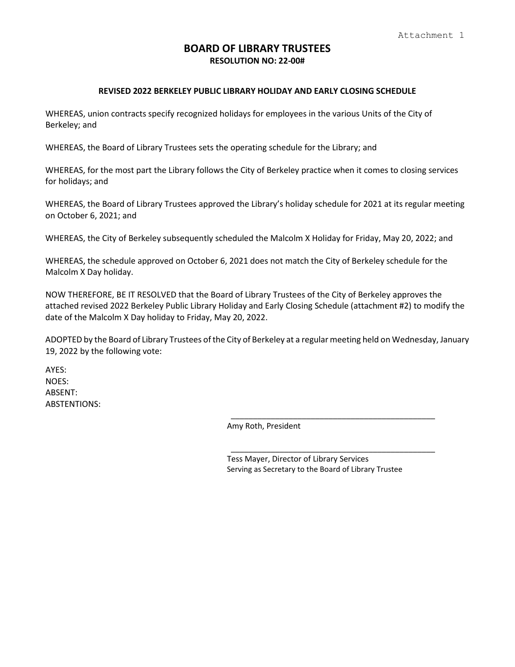## **BOARD OF LIBRARY TRUSTEES RESOLUTION NO: 22-00#**

#### **REVISED 2022 BERKELEY PUBLIC LIBRARY HOLIDAY AND EARLY CLOSING SCHEDULE**

WHEREAS, union contracts specify recognized holidays for employees in the various Units of the City of Berkeley; and

WHEREAS, the Board of Library Trustees sets the operating schedule for the Library; and

WHEREAS, for the most part the Library follows the City of Berkeley practice when it comes to closing services for holidays; and

WHEREAS, the Board of Library Trustees approved the Library's holiday schedule for 2021 at its regular meeting on October 6, 2021; and

WHEREAS, the City of Berkeley subsequently scheduled the Malcolm X Holiday for Friday, May 20, 2022; and

WHEREAS, the schedule approved on October 6, 2021 does not match the City of Berkeley schedule for the Malcolm X Day holiday.

NOW THEREFORE, BE IT RESOLVED that the Board of Library Trustees of the City of Berkeley approves the attached revised 2022 Berkeley Public Library Holiday and Early Closing Schedule (attachment #2) to modify the date of the Malcolm X Day holiday to Friday, May 20, 2022.

ADOPTED by the Board of Library Trustees of the City of Berkeley at a regular meeting held on Wednesday, January 19, 2022 by the following vote:

AYES: NOES: ABSENT: ABSTENTIONS:

Amy Roth, President

Tess Mayer, Director of Library Services Serving as Secretary to the Board of Library Trustee

\_\_\_\_\_\_\_\_\_\_\_\_\_\_\_\_\_\_\_\_\_\_\_\_\_\_\_\_\_\_\_\_\_\_\_\_\_\_\_\_\_\_\_\_\_\_

\_\_\_\_\_\_\_\_\_\_\_\_\_\_\_\_\_\_\_\_\_\_\_\_\_\_\_\_\_\_\_\_\_\_\_\_\_\_\_\_\_\_\_\_\_\_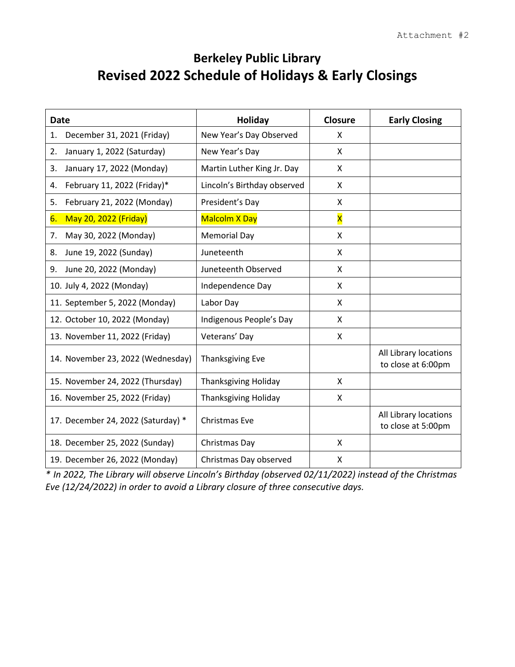# **Berkeley Public Library Revised 2022 Schedule of Holidays & Early Closings**

| <b>Date</b>                        | <b>Holiday</b>              | <b>Closure</b>          | <b>Early Closing</b>                        |
|------------------------------------|-----------------------------|-------------------------|---------------------------------------------|
| December 31, 2021 (Friday)<br>1.   | New Year's Day Observed     | X                       |                                             |
| January 1, 2022 (Saturday)<br>2.   | New Year's Day              | X                       |                                             |
| 3.<br>January 17, 2022 (Monday)    | Martin Luther King Jr. Day  | X                       |                                             |
| February 11, 2022 (Friday)*<br>4.  | Lincoln's Birthday observed | X                       |                                             |
| February 21, 2022 (Monday)<br>5.   | President's Day             | X                       |                                             |
| May 20, 2022 (Friday)<br>6.        | <b>Malcolm X Day</b>        | $\overline{\mathsf{x}}$ |                                             |
| May 30, 2022 (Monday)<br>7.        | <b>Memorial Day</b>         | Χ                       |                                             |
| June 19, 2022 (Sunday)<br>8.       | Juneteenth                  | X                       |                                             |
| June 20, 2022 (Monday)<br>9.       | Juneteenth Observed         | X                       |                                             |
| 10. July 4, 2022 (Monday)          | Independence Day            | X                       |                                             |
| 11. September 5, 2022 (Monday)     | Labor Day                   | X                       |                                             |
| 12. October 10, 2022 (Monday)      | Indigenous People's Day     | Χ                       |                                             |
| 13. November 11, 2022 (Friday)     | Veterans' Day               | X                       |                                             |
| 14. November 23, 2022 (Wednesday)  | <b>Thanksgiving Eve</b>     |                         | All Library locations<br>to close at 6:00pm |
| 15. November 24, 2022 (Thursday)   | <b>Thanksgiving Holiday</b> | X                       |                                             |
| 16. November 25, 2022 (Friday)     | <b>Thanksgiving Holiday</b> | X                       |                                             |
| 17. December 24, 2022 (Saturday) * | Christmas Eve               |                         | All Library locations<br>to close at 5:00pm |
| 18. December 25, 2022 (Sunday)     | Christmas Day               | X                       |                                             |
| 19. December 26, 2022 (Monday)     | Christmas Day observed      | X                       |                                             |

*\* In 2022, The Library will observe Lincoln's Birthday (observed 02/11/2022) instead of the Christmas Eve (12/24/2022) in order to avoid a Library closure of three consecutive days.*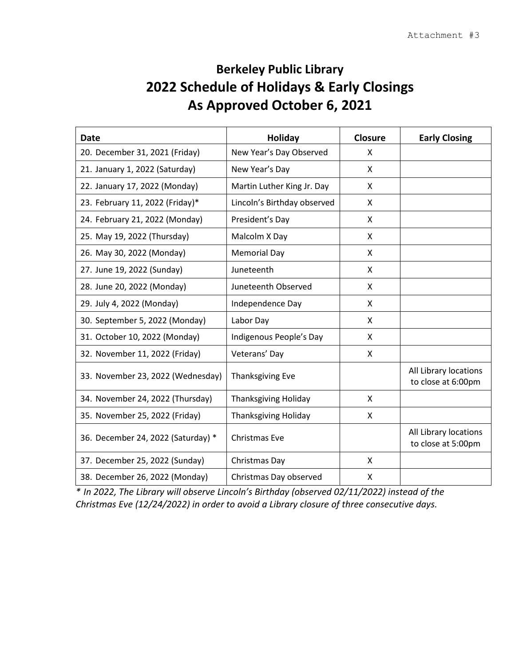# **Berkeley Public Library 2022 Schedule of Holidays & Early Closings As Approved October 6, 2021**

| <b>Date</b>                        | <b>Holiday</b>              | <b>Closure</b> | <b>Early Closing</b>                        |
|------------------------------------|-----------------------------|----------------|---------------------------------------------|
| 20. December 31, 2021 (Friday)     | New Year's Day Observed     | X              |                                             |
| 21. January 1, 2022 (Saturday)     | New Year's Day              | $\mathsf{X}$   |                                             |
| 22. January 17, 2022 (Monday)      | Martin Luther King Jr. Day  | X              |                                             |
| 23. February 11, 2022 (Friday)*    | Lincoln's Birthday observed | X              |                                             |
| 24. February 21, 2022 (Monday)     | President's Day             | X              |                                             |
| 25. May 19, 2022 (Thursday)        | Malcolm X Day               | X              |                                             |
| 26. May 30, 2022 (Monday)          | <b>Memorial Day</b>         | X              |                                             |
| 27. June 19, 2022 (Sunday)         | Juneteenth                  | X              |                                             |
| 28. June 20, 2022 (Monday)         | Juneteenth Observed         | X              |                                             |
| 29. July 4, 2022 (Monday)          | Independence Day            | X              |                                             |
| 30. September 5, 2022 (Monday)     | Labor Day                   | X              |                                             |
| 31. October 10, 2022 (Monday)      | Indigenous People's Day     | X              |                                             |
| 32. November 11, 2022 (Friday)     | Veterans' Day               | X              |                                             |
| 33. November 23, 2022 (Wednesday)  | <b>Thanksgiving Eve</b>     |                | All Library locations<br>to close at 6:00pm |
| 34. November 24, 2022 (Thursday)   | <b>Thanksgiving Holiday</b> | X              |                                             |
| 35. November 25, 2022 (Friday)     | <b>Thanksgiving Holiday</b> | X              |                                             |
| 36. December 24, 2022 (Saturday) * | Christmas Eve               |                | All Library locations<br>to close at 5:00pm |
| 37. December 25, 2022 (Sunday)     | Christmas Day               | $\mathsf{X}$   |                                             |
| 38. December 26, 2022 (Monday)     | Christmas Day observed      | X              |                                             |

*\* In 2022, The Library will observe Lincoln's Birthday (observed 02/11/2022) instead of the Christmas Eve (12/24/2022) in order to avoid a Library closure of three consecutive days.*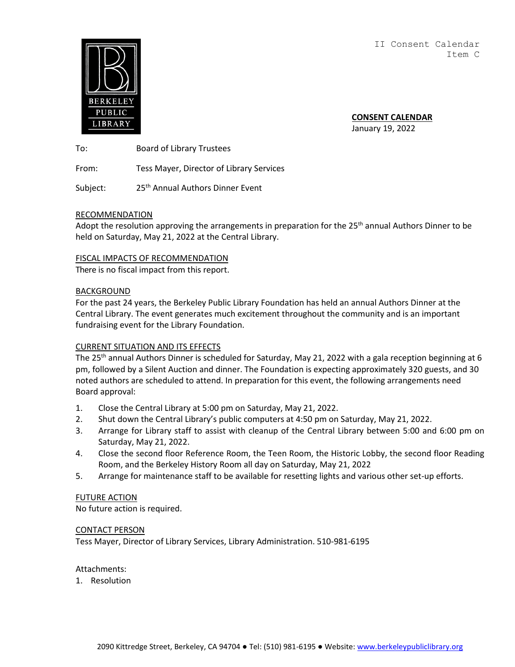II Consent Calendar Item C

<span id="page-12-0"></span>

**CONSENT CALENDAR** January 19, 2022

To: Board of Library Trustees

From: Tess Mayer, Director of Library Services

Subject: 25<sup>th</sup> Annual Authors Dinner Event

#### RECOMMENDATION

Adopt the resolution approving the arrangements in preparation for the 25<sup>th</sup> annual Authors Dinner to be held on Saturday, May 21, 2022 at the Central Library.

#### FISCAL IMPACTS OF RECOMMENDATION

There is no fiscal impact from this report.

#### BACKGROUND

For the past 24 years, the Berkeley Public Library Foundation has held an annual Authors Dinner at the Central Library. The event generates much excitement throughout the community and is an important fundraising event for the Library Foundation.

#### CURRENT SITUATION AND ITS EFFECTS

The 25<sup>th</sup> annual Authors Dinner is scheduled for Saturday, May 21, 2022 with a gala reception beginning at 6 pm, followed by a Silent Auction and dinner. The Foundation is expecting approximately 320 guests, and 30 noted authors are scheduled to attend. In preparation for this event, the following arrangements need Board approval:

- 1. Close the Central Library at 5:00 pm on Saturday, May 21, 2022.
- 2. Shut down the Central Library's public computers at 4:50 pm on Saturday, May 21, 2022.
- 3. Arrange for Library staff to assist with cleanup of the Central Library between 5:00 and 6:00 pm on Saturday, May 21, 2022.
- 4. Close the second floor Reference Room, the Teen Room, the Historic Lobby, the second floor Reading Room, and the Berkeley History Room all day on Saturday, May 21, 2022
- 5. Arrange for maintenance staff to be available for resetting lights and various other set-up efforts.

#### FUTURE ACTION

No future action is required.

#### CONTACT PERSON

Tess Mayer, Director of Library Services, Library Administration. 510-981-6195

#### Attachments:

1. Resolution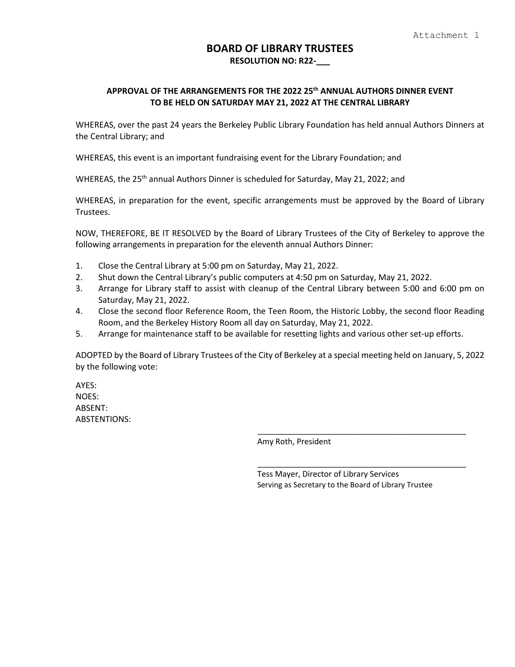## **BOARD OF LIBRARY TRUSTEES RESOLUTION NO: R22-\_\_\_**

## **APPROVAL OF THE ARRANGEMENTS FOR THE 2022 25th ANNUAL AUTHORS DINNER EVENT TO BE HELD ON SATURDAY MAY 21, 2022 AT THE CENTRAL LIBRARY**

WHEREAS, over the past 24 years the Berkeley Public Library Foundation has held annual Authors Dinners at the Central Library; and

WHEREAS, this event is an important fundraising event for the Library Foundation; and

WHEREAS, the  $25<sup>th</sup>$  annual Authors Dinner is scheduled for Saturday, May 21, 2022; and

WHEREAS, in preparation for the event, specific arrangements must be approved by the Board of Library Trustees.

NOW, THEREFORE, BE IT RESOLVED by the Board of Library Trustees of the City of Berkeley to approve the following arrangements in preparation for the eleventh annual Authors Dinner:

- 1. Close the Central Library at 5:00 pm on Saturday, May 21, 2022.
- 2. Shut down the Central Library's public computers at 4:50 pm on Saturday, May 21, 2022.
- 3. Arrange for Library staff to assist with cleanup of the Central Library between 5:00 and 6:00 pm on Saturday, May 21, 2022.
- 4. Close the second floor Reference Room, the Teen Room, the Historic Lobby, the second floor Reading Room, and the Berkeley History Room all day on Saturday, May 21, 2022.
- 5. Arrange for maintenance staff to be available for resetting lights and various other set-up efforts.

ADOPTED by the Board of Library Trustees of the City of Berkeley at a special meeting held on January, 5, 2022 by the following vote:

AYES: NOES: ABSENT: ABSTENTIONS:

Amy Roth, President

Tess Mayer, Director of Library Services Serving as Secretary to the Board of Library Trustee

\_\_\_\_\_\_\_\_\_\_\_\_\_\_\_\_\_\_\_\_\_\_\_\_\_\_\_\_\_\_\_\_\_\_\_\_\_\_\_\_\_\_\_\_\_\_\_

\_\_\_\_\_\_\_\_\_\_\_\_\_\_\_\_\_\_\_\_\_\_\_\_\_\_\_\_\_\_\_\_\_\_\_\_\_\_\_\_\_\_\_\_\_\_\_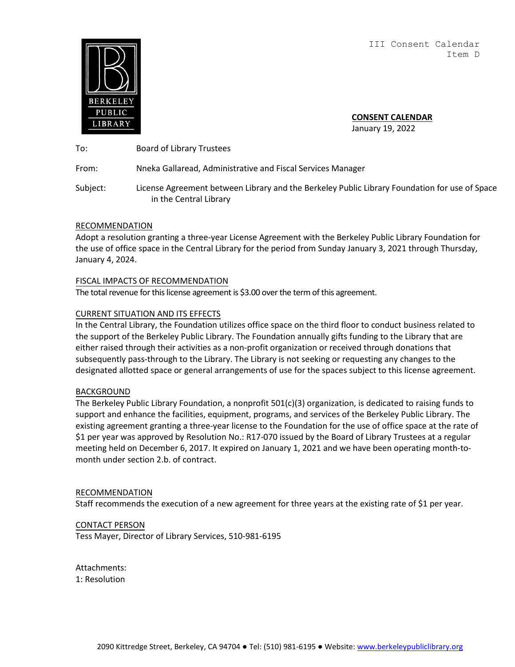III Consent Calendar Item D

<span id="page-15-0"></span>

**CONSENT CALENDAR**

January 19, 2022

To: Board of Library Trustees

From: Nneka Gallaread, Administrative and Fiscal Services Manager

Subject: License Agreement between Library and the Berkeley Public Library Foundation for use of Space in the Central Library

## RECOMMENDATION

Adopt a resolution granting a three-year License Agreement with the Berkeley Public Library Foundation for the use of office space in the Central Library for the period from Sunday January 3, 2021 through Thursday, January 4, 2024.

## FISCAL IMPACTS OF RECOMMENDATION

The total revenue for this license agreement is \$3.00 overthe term of this agreement.

## CURRENT SITUATION AND ITS EFFECTS

In the Central Library, the Foundation utilizes office space on the third floor to conduct business related to the support of the Berkeley Public Library. The Foundation annually gifts funding to the Library that are either raised through their activities as a non-profit organization or received through donations that subsequently pass-through to the Library. The Library is not seeking or requesting any changes to the designated allotted space or general arrangements of use for the spaces subject to this license agreement.

#### **BACKGROUND**

The Berkeley Public Library Foundation, a nonprofit 501(c)(3) organization, is dedicated to raising funds to support and enhance the facilities, equipment, programs, and services of the Berkeley Public Library. The existing agreement granting a three-year license to the Foundation for the use of office space at the rate of \$1 per year was approved by Resolution No.: R17-070 issued by the Board of Library Trustees at a regular meeting held on December 6, 2017. It expired on January 1, 2021 and we have been operating month-tomonth under section 2.b. of contract.

#### RECOMMENDATION

Staff recommends the execution of a new agreement for three years at the existing rate of \$1 per year.

#### CONTACT PERSON

Tess Mayer, Director of Library Services, 510-981-6195

Attachments: 1: Resolution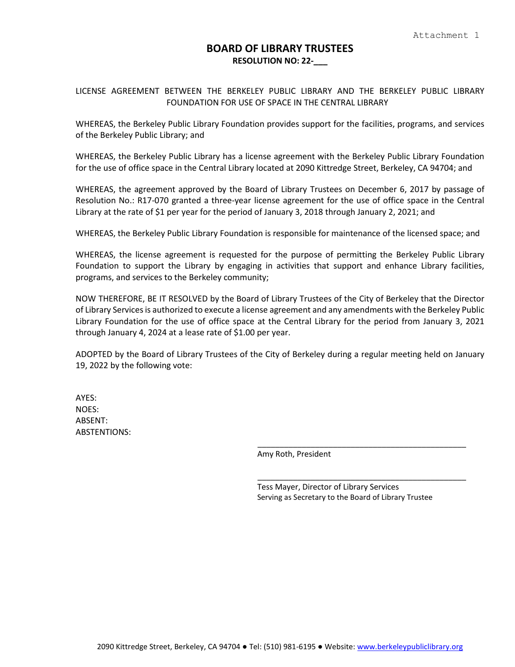## **BOARD OF LIBRARY TRUSTEES RESOLUTION NO: 22-\_\_\_**

LICENSE AGREEMENT BETWEEN THE BERKELEY PUBLIC LIBRARY AND THE BERKELEY PUBLIC LIBRARY FOUNDATION FOR USE OF SPACE IN THE CENTRAL LIBRARY

WHEREAS, the Berkeley Public Library Foundation provides support for the facilities, programs, and services of the Berkeley Public Library; and

WHEREAS, the Berkeley Public Library has a license agreement with the Berkeley Public Library Foundation for the use of office space in the Central Library located at 2090 Kittredge Street, Berkeley, CA 94704; and

WHEREAS, the agreement approved by the Board of Library Trustees on December 6, 2017 by passage of Resolution No.: R17-070 granted a three-year license agreement for the use of office space in the Central Library at the rate of \$1 per year for the period of January 3, 2018 through January 2, 2021; and

WHEREAS, the Berkeley Public Library Foundation is responsible for maintenance of the licensed space; and

WHEREAS, the license agreement is requested for the purpose of permitting the Berkeley Public Library Foundation to support the Library by engaging in activities that support and enhance Library facilities, programs, and services to the Berkeley community;

NOW THEREFORE, BE IT RESOLVED by the Board of Library Trustees of the City of Berkeley that the Director of Library Services is authorized to execute a license agreement and any amendments with the Berkeley Public Library Foundation for the use of office space at the Central Library for the period from January 3, 2021 through January 4, 2024 at a lease rate of \$1.00 per year.

ADOPTED by the Board of Library Trustees of the City of Berkeley during a regular meeting held on January 19, 2022 by the following vote:

AYES: NOES: ABSENT: ABSTENTIONS:

Amy Roth, President

Tess Mayer, Director of Library Services Serving as Secretary to the Board of Library Trustee

\_\_\_\_\_\_\_\_\_\_\_\_\_\_\_\_\_\_\_\_\_\_\_\_\_\_\_\_\_\_\_\_\_\_\_\_\_\_\_\_\_\_\_\_\_\_\_

\_\_\_\_\_\_\_\_\_\_\_\_\_\_\_\_\_\_\_\_\_\_\_\_\_\_\_\_\_\_\_\_\_\_\_\_\_\_\_\_\_\_\_\_\_\_\_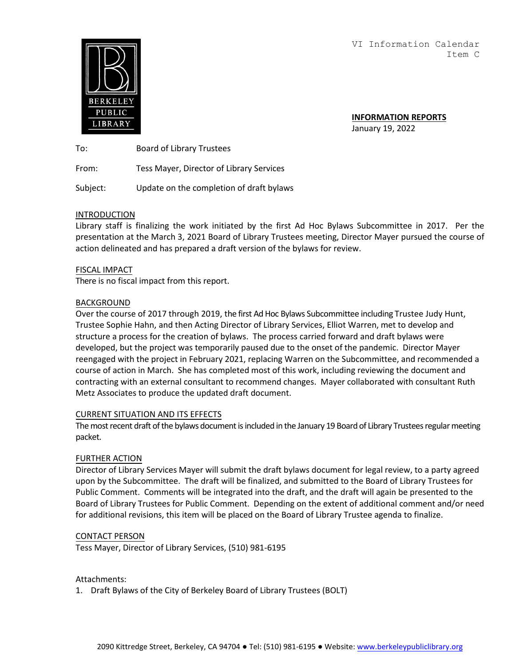VI Information Calendar Item C

<span id="page-18-0"></span>

**INFORMATION REPORTS** January 19, 2022

To: Board of Library Trustees

From: Tess Mayer, Director of Library Services

Subject: Update on the completion of draft bylaws

#### INTRODUCTION

Library staff is finalizing the work initiated by the first Ad Hoc Bylaws Subcommittee in 2017. Per the presentation at the March 3, 2021 Board of Library Trustees meeting, Director Mayer pursued the course of action delineated and has prepared a draft version of the bylaws for review.

#### FISCAL IMPACT

There is no fiscal impact from this report.

#### BACKGROUND

Over the course of 2017 through 2019, the first Ad Hoc Bylaws Subcommittee including Trustee Judy Hunt, Trustee Sophie Hahn, and then Acting Director of Library Services, Elliot Warren, met to develop and structure a process for the creation of bylaws. The process carried forward and draft bylaws were developed, but the project was temporarily paused due to the onset of the pandemic. Director Mayer reengaged with the project in February 2021, replacing Warren on the Subcommittee, and recommended a course of action in March. She has completed most of this work, including reviewing the document and contracting with an external consultant to recommend changes. Mayer collaborated with consultant Ruth Metz Associates to produce the updated draft document.

#### CURRENT SITUATION AND ITS EFFECTS

The most recent draft of the bylaws document is included in the January 19 Board of Library Trustees regular meeting packet.

#### FURTHER ACTION

Director of Library Services Mayer will submit the draft bylaws document for legal review, to a party agreed upon by the Subcommittee. The draft will be finalized, and submitted to the Board of Library Trustees for Public Comment. Comments will be integrated into the draft, and the draft will again be presented to the Board of Library Trustees for Public Comment. Depending on the extent of additional comment and/or need for additional revisions, this item will be placed on the Board of Library Trustee agenda to finalize.

#### CONTACT PERSON

Tess Mayer, Director of Library Services, (510) 981-6195

Attachments:

1. Draft Bylaws of the City of Berkeley Board of Library Trustees (BOLT)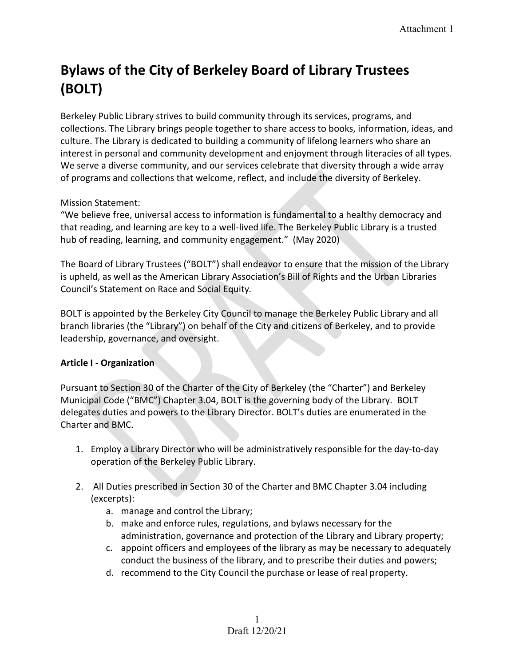# **Bylaws of the City of Berkeley Board of Library Trustees (BOLT)**

Berkeley Public Library strives to build community through its services, programs, and collections. The Library brings people together to share access to books, information, ideas, and culture. The Library is dedicated to building a community of lifelong learners who share an interest in personal and community development and enjoyment through literacies of all types. We serve a diverse community, and our services celebrate that diversity through a wide array of programs and collections that welcome, reflect, and include the diversity of Berkeley.

Mission Statement:

"We believe free, universal access to information is fundamental to a healthy democracy and that reading, and learning are key to a well-lived life. The Berkeley Public Library is a trusted hub of reading, learning, and community engagement." (May 2020)

The Board of Library Trustees ("BOLT") shall endeavor to ensure that the mission of the Library is upheld, as well as the American Library Association's Bill of Rights and the Urban Libraries Council's Statement on Race and Social Equity*.* 

BOLT is appointed by the Berkeley City Council to manage the Berkeley Public Library and all branch libraries (the "Library") on behalf of the City and citizens of Berkeley, and to provide leadership, governance, and oversight.

# **Article I - Organization**

Pursuant to Section 30 of the Charter of the City of Berkeley (the "Charter") and Berkeley Municipal Code ("BMC") Chapter 3.04, BOLT is the governing body of the Library. BOLT delegates duties and powers to the Library Director. BOLT's duties are enumerated in the Charter and BMC.

- 1. Employ a Library Director who will be administratively responsible for the day-to-day operation of the Berkeley Public Library.
- 2. All Duties prescribed in Section 30 of the Charter and BMC Chapter 3.04 including (excerpts):
	- a. manage and control the Library;
	- b. make and enforce rules, regulations, and bylaws necessary for the administration, governance and protection of the Library and Library property;
	- c. appoint officers and employees of the library as may be necessary to adequately conduct the business of the library, and to prescribe their duties and powers;
	- d. recommend to the City Council the purchase or lease of real property.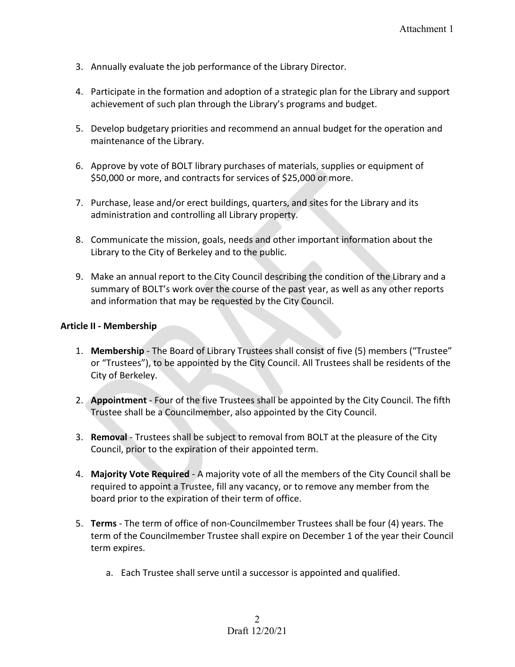- 3. Annually evaluate the job performance of the Library Director.
- 4. Participate in the formation and adoption of a strategic plan for the Library and support achievement of such plan through the Library's programs and budget.
- 5. Develop budgetary priorities and recommend an annual budget for the operation and maintenance of the Library.
- 6. Approve by vote of BOLT library purchases of materials, supplies or equipment of \$50,000 or more, and contracts for services of \$25,000 or more.
- 7. Purchase, lease and/or erect buildings, quarters, and sites for the Library and its administration and controlling all Library property.
- 8. Communicate the mission, goals, needs and other important information about the Library to the City of Berkeley and to the public.
- 9. Make an annual report to the City Council describing the condition of the Library and a summary of BOLT's work over the course of the past year, as well as any other reports and information that may be requested by the City Council.

## **Article II - Membership**

- 1. **Membership** The Board of Library Trustees shall consist of five (5) members ("Trustee" or "Trustees"), to be appointed by the City Council. All Trustees shall be residents of the City of Berkeley.
- 2. **Appointment** Four of the five Trustees shall be appointed by the City Council. The fifth Trustee shall be a Councilmember, also appointed by the City Council.
- 3. **Removal**  Trustees shall be subject to removal from BOLT at the pleasure of the City Council, prior to the expiration of their appointed term.
- 4. **Majority Vote Required** A majority vote of all the members of the City Council shall be required to appoint a Trustee, fill any vacancy, or to remove any member from the board prior to the expiration of their term of office.
- 5. **Terms**  The term of office of non-Councilmember Trustees shall be four (4) years. The term of the Councilmember Trustee shall expire on December 1 of the year their Council term expires.
	- a. Each Trustee shall serve until a successor is appointed and qualified.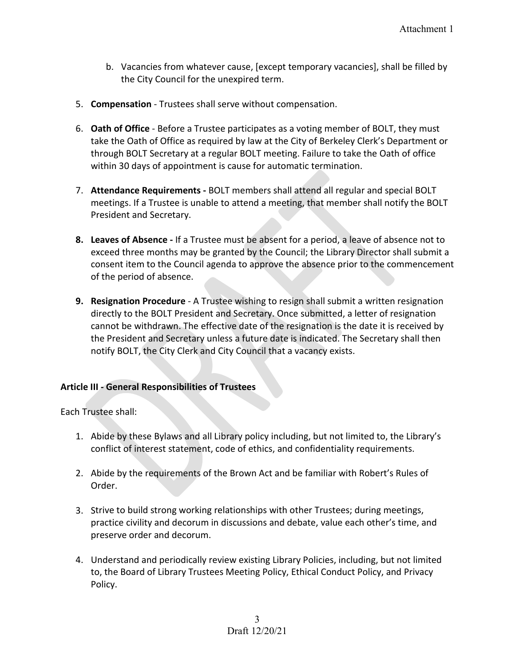- b. Vacancies from whatever cause, [except temporary vacancies], shall be filled by the City Council for the unexpired term.
- 5. **Compensation** Trustees shall serve without compensation.
- 6. **Oath of Office** Before a Trustee participates as a voting member of BOLT, they must take the Oath of Office as required by law at the City of Berkeley Clerk's Department or through BOLT Secretary at a regular BOLT meeting. Failure to take the Oath of office within 30 days of appointment is cause for automatic termination.
- 7. **Attendance Requirements** BOLT members shall attend all regular and special BOLT meetings. If a Trustee is unable to attend a meeting, that member shall notify the BOLT President and Secretary.
- **8. Leaves of Absence** If a Trustee must be absent for a period, a leave of absence not to exceed three months may be granted by the Council; the Library Director shall submit a consent item to the Council agenda to approve the absence prior to the commencement of the period of absence.
- **9. Resignation Procedure**  A Trustee wishing to resign shall submit a written resignation directly to the BOLT President and Secretary. Once submitted, a letter of resignation cannot be withdrawn. The effective date of the resignation is the date it is received by the President and Secretary unless a future date is indicated. The Secretary shall then notify BOLT, the City Clerk and City Council that a vacancy exists.

## **Article III - General Responsibilities of Trustees**

Each Trustee shall:

- 1. Abide by these Bylaws and all Library policy including, but not limited to, the Library's conflict of interest statement, code of ethics, and confidentiality requirements.
- 2. Abide by the requirements of the Brown Act and be familiar with Robert's Rules of Order.
- 3. Strive to build strong working relationships with other Trustees; during meetings, practice civility and decorum in discussions and debate, value each other's time, and preserve order and decorum.
- 4. Understand and periodically review existing Library Policies, including, but not limited to, the Board of Library Trustees Meeting Policy, Ethical Conduct Policy, and Privacy Policy.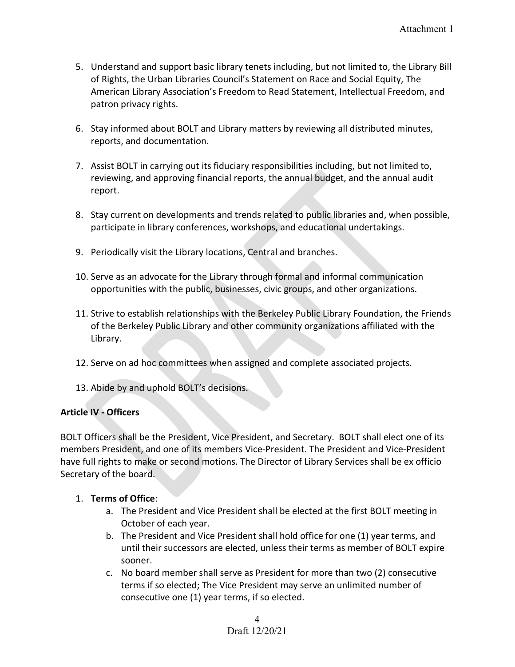- 5. Understand and support basic library tenets including, but not limited to, the Library Bill of Rights, the Urban Libraries Council's Statement on Race and Social Equity, The American Library Association's Freedom to Read Statement, Intellectual Freedom, and patron privacy rights.
- 6. Stay informed about BOLT and Library matters by reviewing all distributed minutes, reports, and documentation.
- 7. Assist BOLT in carrying out its fiduciary responsibilities including, but not limited to, reviewing, and approving financial reports, the annual budget, and the annual audit report.
- 8. Stay current on developments and trends related to public libraries and, when possible, participate in library conferences, workshops, and educational undertakings.
- 9. Periodically visit the Library locations, Central and branches.
- 10. Serve as an advocate for the Library through formal and informal communication opportunities with the public, businesses, civic groups, and other organizations.
- 11. Strive to establish relationships with the Berkeley Public Library Foundation, the Friends of the Berkeley Public Library and other community organizations affiliated with the Library.
- 12. Serve on ad hoc committees when assigned and complete associated projects.
- 13. Abide by and uphold BOLT's decisions.

# **Article IV - Officers**

BOLT Officers shall be the President, Vice President, and Secretary. BOLT shall elect one of its members President, and one of its members Vice-President. The President and Vice-President have full rights to make or second motions. The Director of Library Services shall be ex officio Secretary of the board.

# 1. **Terms of Office**:

- a. The President and Vice President shall be elected at the first BOLT meeting in October of each year.
- b. The President and Vice President shall hold office for one (1) year terms, and until their successors are elected, unless their terms as member of BOLT expire sooner.
- c. No board member shall serve as President for more than two (2) consecutive terms if so elected; The Vice President may serve an unlimited number of consecutive one (1) year terms, if so elected.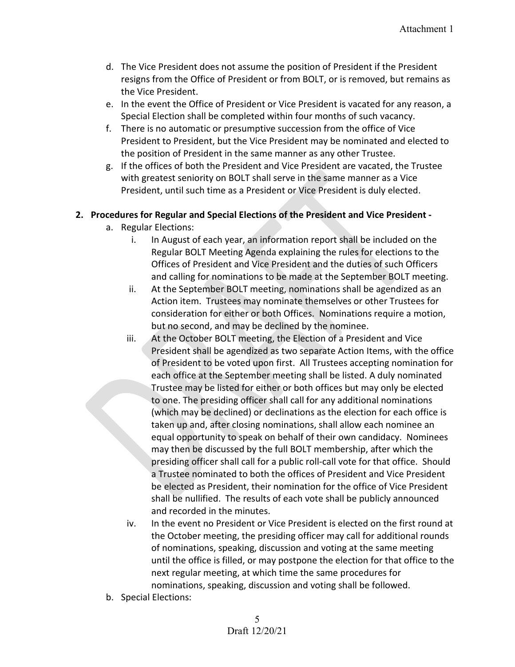- d. The Vice President does not assume the position of President if the President resigns from the Office of President or from BOLT, or is removed, but remains as the Vice President.
- e. In the event the Office of President or Vice President is vacated for any reason, a Special Election shall be completed within four months of such vacancy.
- f. There is no automatic or presumptive succession from the office of Vice President to President, but the Vice President may be nominated and elected to the position of President in the same manner as any other Trustee.
- g. If the offices of both the President and Vice President are vacated, the Trustee with greatest seniority on BOLT shall serve in the same manner as a Vice President, until such time as a President or Vice President is duly elected.

# **2. Procedures for Regular and Special Elections of the President and Vice President -**

- a. Regular Elections:
	- i. In August of each year, an information report shall be included on the Regular BOLT Meeting Agenda explaining the rules for elections to the Offices of President and Vice President and the duties of such Officers and calling for nominations to be made at the September BOLT meeting.
	- ii. At the September BOLT meeting, nominations shall be agendized as an Action item. Trustees may nominate themselves or other Trustees for consideration for either or both Offices. Nominations require a motion, but no second, and may be declined by the nominee.
	- iii. At the October BOLT meeting, the Election of a President and Vice President shall be agendized as two separate Action Items, with the office of President to be voted upon first. All Trustees accepting nomination for each office at the September meeting shall be listed. A duly nominated Trustee may be listed for either or both offices but may only be elected to one. The presiding officer shall call for any additional nominations (which may be declined) or declinations as the election for each office is taken up and, after closing nominations, shall allow each nominee an equal opportunity to speak on behalf of their own candidacy. Nominees may then be discussed by the full BOLT membership, after which the presiding officer shall call for a public roll-call vote for that office. Should a Trustee nominated to both the offices of President and Vice President be elected as President, their nomination for the office of Vice President shall be nullified. The results of each vote shall be publicly announced and recorded in the minutes.
	- iv. In the event no President or Vice President is elected on the first round at the October meeting, the presiding officer may call for additional rounds of nominations, speaking, discussion and voting at the same meeting until the office is filled, or may postpone the election for that office to the next regular meeting, at which time the same procedures for nominations, speaking, discussion and voting shall be followed.
- b. Special Elections: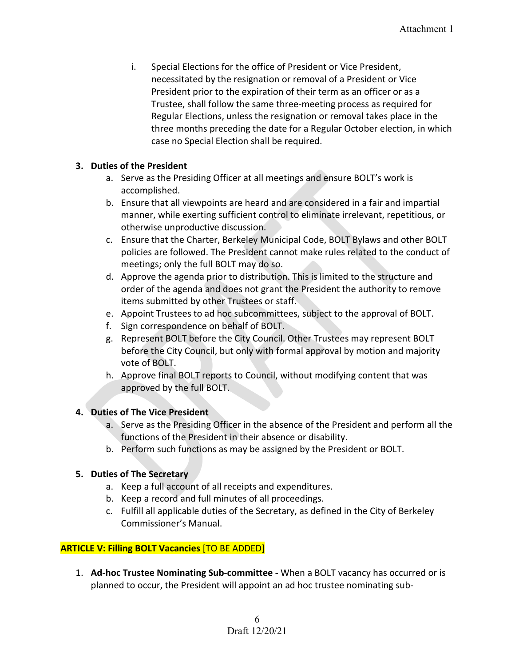i. Special Elections for the office of President or Vice President, necessitated by the resignation or removal of a President or Vice President prior to the expiration of their term as an officer or as a Trustee, shall follow the same three-meeting process as required for Regular Elections, unless the resignation or removal takes place in the three months preceding the date for a Regular October election, in which case no Special Election shall be required.

## **3. Duties of the President**

- a. Serve as the Presiding Officer at all meetings and ensure BOLT's work is accomplished.
- b. Ensure that all viewpoints are heard and are considered in a fair and impartial manner, while exerting sufficient control to eliminate irrelevant, repetitious, or otherwise unproductive discussion.
- c. Ensure that the Charter, Berkeley Municipal Code, BOLT Bylaws and other BOLT policies are followed. The President cannot make rules related to the conduct of meetings; only the full BOLT may do so.
- d. Approve the agenda prior to distribution. This is limited to the structure and order of the agenda and does not grant the President the authority to remove items submitted by other Trustees or staff.
- e. Appoint Trustees to ad hoc subcommittees, subject to the approval of BOLT.
- f. Sign correspondence on behalf of BOLT.
- g. Represent BOLT before the City Council. Other Trustees may represent BOLT before the City Council, but only with formal approval by motion and majority vote of BOLT.
- h. Approve final BOLT reports to Council, without modifying content that was approved by the full BOLT.

## **4. Duties of The Vice President**

- a. Serve as the Presiding Officer in the absence of the President and perform all the functions of the President in their absence or disability.
- b. Perform such functions as may be assigned by the President or BOLT.

# **5. Duties of The Secretary**

- a. Keep a full account of all receipts and expenditures.
- b. Keep a record and full minutes of all proceedings.
- c. Fulfill all applicable duties of the Secretary, as defined in the City of Berkeley Commissioner's Manual.

# **ARTICLE V: Filling BOLT Vacancies** [TO BE ADDED]

1. **Ad-hoc Trustee Nominating Sub-committee -** When a BOLT vacancy has occurred or is planned to occur, the President will appoint an ad hoc trustee nominating sub-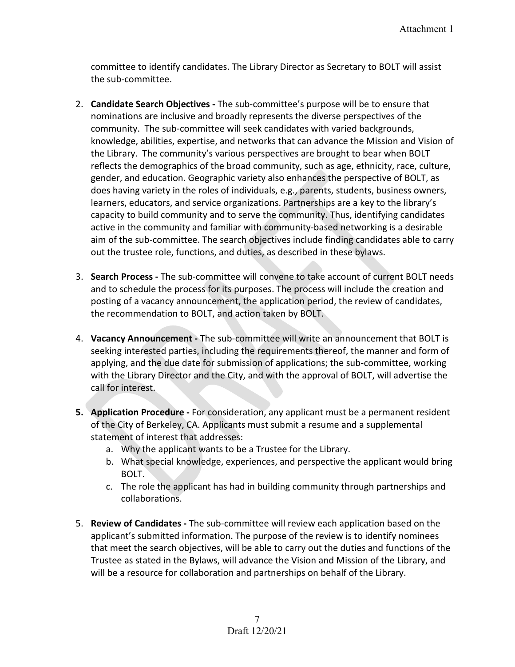committee to identify candidates. The Library Director as Secretary to BOLT will assist the sub-committee.

- 2. **Candidate Search Objectives -** The sub-committee's purpose will be to ensure that nominations are inclusive and broadly represents the diverse perspectives of the community. The sub-committee will seek candidates with varied backgrounds, knowledge, abilities, expertise, and networks that can advance the Mission and Vision of the Library. The community's various perspectives are brought to bear when BOLT reflects the demographics of the broad community, such as age, ethnicity, race, culture, gender, and education. Geographic variety also enhances the perspective of BOLT, as does having variety in the roles of individuals, e.g., parents, students, business owners, learners, educators, and service organizations. Partnerships are a key to the library's capacity to build community and to serve the community. Thus, identifying candidates active in the community and familiar with community-based networking is a desirable aim of the sub-committee. The search objectives include finding candidates able to carry out the trustee role, functions, and duties, as described in these bylaws.
- 3. **Search Process -** The sub-committee will convene to take account of current BOLT needs and to schedule the process for its purposes. The process will include the creation and posting of a vacancy announcement, the application period, the review of candidates, the recommendation to BOLT, and action taken by BOLT.
- 4. **Vacancy Announcement -** The sub-committee will write an announcement that BOLT is seeking interested parties, including the requirements thereof, the manner and form of applying, and the due date for submission of applications; the sub-committee, working with the Library Director and the City, and with the approval of BOLT, will advertise the call for interest.
- **5. Application Procedure -** For consideration, any applicant must be a permanent resident of the City of Berkeley, CA. Applicants must submit a resume and a supplemental statement of interest that addresses:
	- a. Why the applicant wants to be a Trustee for the Library.
	- b. What special knowledge, experiences, and perspective the applicant would bring BOLT.
	- c. The role the applicant has had in building community through partnerships and collaborations.
- 5. **Review of Candidates -** The sub-committee will review each application based on the applicant's submitted information. The purpose of the review is to identify nominees that meet the search objectives, will be able to carry out the duties and functions of the Trustee as stated in the Bylaws, will advance the Vision and Mission of the Library, and will be a resource for collaboration and partnerships on behalf of the Library.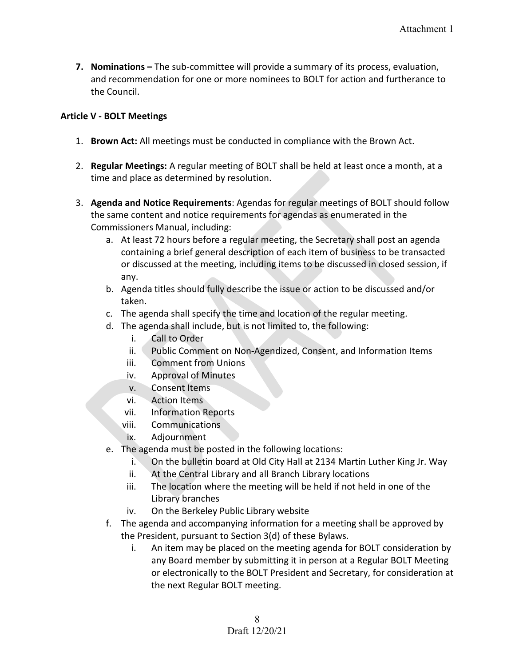**7. Nominations –** The sub-committee will provide a summary of its process, evaluation, and recommendation for one or more nominees to BOLT for action and furtherance to the Council.

## **Article V - BOLT Meetings**

- 1. **Brown Act:** All meetings must be conducted in compliance with the Brown Act.
- 2. **Regular Meetings:** A regular meeting of BOLT shall be held at least once a month, at a time and place as determined by resolution.
- 3. **Agenda and Notice Requirements**: Agendas for regular meetings of BOLT should follow the same content and notice requirements for agendas as enumerated in the Commissioners Manual, including:
	- a. At least 72 hours before a regular meeting, the Secretary shall post an agenda containing a brief general description of each item of business to be transacted or discussed at the meeting, including items to be discussed in closed session, if any.
	- b. Agenda titles should fully describe the issue or action to be discussed and/or taken.
	- c. The agenda shall specify the time and location of the regular meeting.
	- d. The agenda shall include, but is not limited to, the following:
		- i. Call to Order
		- ii. Public Comment on Non-Agendized, Consent, and Information Items
		- iii. Comment from Unions
		- iv. Approval of Minutes
		- v. Consent Items
		- vi. Action Items
		- vii. Information Reports
		- viii. Communications
		- ix. Adjournment
	- e. The agenda must be posted in the following locations:
		- i. On the bulletin board at Old City Hall at 2134 Martin Luther King Jr. Way
		- ii. At the Central Library and all Branch Library locations
		- iii. The location where the meeting will be held if not held in one of the Library branches
		- iv. On the Berkeley Public Library website
	- f. The agenda and accompanying information for a meeting shall be approved by the President, pursuant to Section 3(d) of these Bylaws.
		- i. An item may be placed on the meeting agenda for BOLT consideration by any Board member by submitting it in person at a Regular BOLT Meeting or electronically to the BOLT President and Secretary, for consideration at the next Regular BOLT meeting.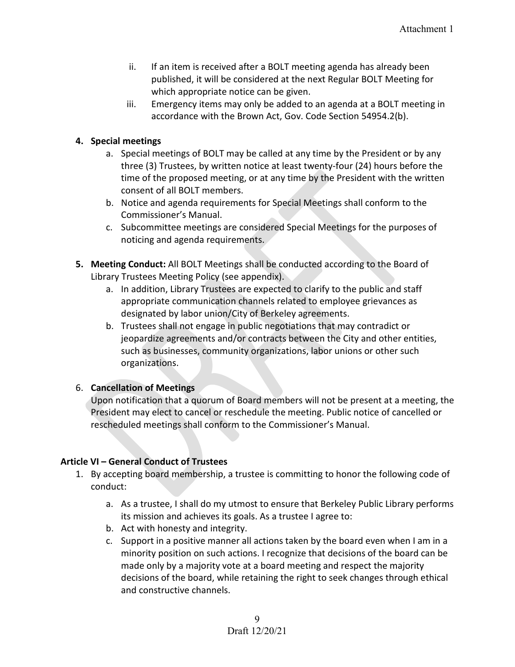- ii. If an item is received after a BOLT meeting agenda has already been published, it will be considered at the next Regular BOLT Meeting for which appropriate notice can be given.
- iii. Emergency items may only be added to an agenda at a BOLT meeting in accordance with the Brown Act, Gov. Code Section 54954.2(b).

## **4. Special meetings**

- a. Special meetings of BOLT may be called at any time by the President or by any three (3) Trustees, by written notice at least twenty-four (24) hours before the time of the proposed meeting, or at any time by the President with the written consent of all BOLT members.
- b. Notice and agenda requirements for Special Meetings shall conform to the Commissioner's Manual.
- c. Subcommittee meetings are considered Special Meetings for the purposes of noticing and agenda requirements.
- **5. Meeting Conduct:** All BOLT Meetings shall be conducted according to the Board of Library Trustees Meeting Policy (see appendix).
	- a. In addition, Library Trustees are expected to clarify to the public and staff appropriate communication channels related to employee grievances as designated by labor union/City of Berkeley agreements.
	- b. Trustees shall not engage in public negotiations that may contradict or jeopardize agreements and/or contracts between the City and other entities, such as businesses, community organizations, labor unions or other such organizations.

# 6. **Cancellation of Meetings**

Upon notification that a quorum of Board members will not be present at a meeting, the President may elect to cancel or reschedule the meeting. Public notice of cancelled or rescheduled meetings shall conform to the Commissioner's Manual.

## **Article VI – General Conduct of Trustees**

- 1. By accepting board membership, a trustee is committing to honor the following code of conduct:
	- a. As a trustee, I shall do my utmost to ensure that Berkeley Public Library performs its mission and achieves its goals. As a trustee I agree to:
	- b. Act with honesty and integrity.
	- c. Support in a positive manner all actions taken by the board even when I am in a minority position on such actions. I recognize that decisions of the board can be made only by a majority vote at a board meeting and respect the majority decisions of the board, while retaining the right to seek changes through ethical and constructive channels.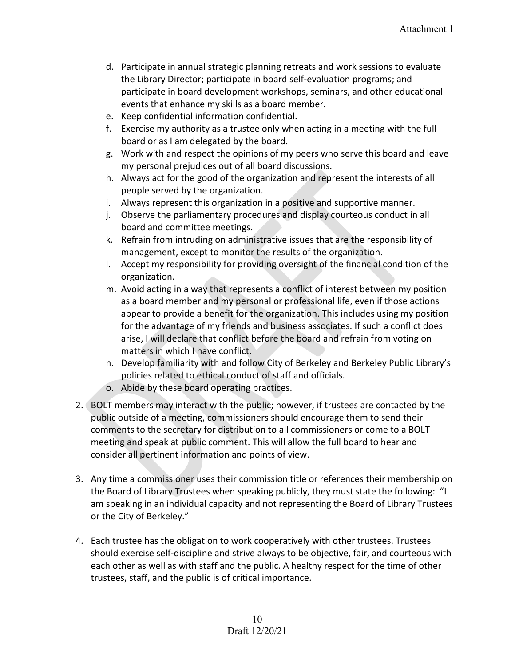- d. Participate in annual strategic planning retreats and work sessions to evaluate the Library Director; participate in board self-evaluation programs; and participate in board development workshops, seminars, and other educational events that enhance my skills as a board member.
- e. Keep confidential information confidential.
- f. Exercise my authority as a trustee only when acting in a meeting with the full board or as I am delegated by the board.
- g. Work with and respect the opinions of my peers who serve this board and leave my personal prejudices out of all board discussions.
- h. Always act for the good of the organization and represent the interests of all people served by the organization.
- i. Always represent this organization in a positive and supportive manner.
- j. Observe the parliamentary procedures and display courteous conduct in all board and committee meetings.
- k. Refrain from intruding on administrative issues that are the responsibility of management, except to monitor the results of the organization.
- l. Accept my responsibility for providing oversight of the financial condition of the organization.
- m. Avoid acting in a way that represents a conflict of interest between my position as a board member and my personal or professional life, even if those actions appear to provide a benefit for the organization. This includes using my position for the advantage of my friends and business associates. If such a conflict does arise, I will declare that conflict before the board and refrain from voting on matters in which I have conflict.
- n. Develop familiarity with and follow City of Berkeley and Berkeley Public Library's policies related to ethical conduct of staff and officials.
- o. Abide by these board operating practices.
- 2. BOLT members may interact with the public; however, if trustees are contacted by the public outside of a meeting, commissioners should encourage them to send their comments to the secretary for distribution to all commissioners or come to a BOLT meeting and speak at public comment. This will allow the full board to hear and consider all pertinent information and points of view.
- 3. Any time a commissioner uses their commission title or references their membership on the Board of Library Trustees when speaking publicly, they must state the following: "I am speaking in an individual capacity and not representing the Board of Library Trustees or the City of Berkeley."
- 4. Each trustee has the obligation to work cooperatively with other trustees. Trustees should exercise self-discipline and strive always to be objective, fair, and courteous with each other as well as with staff and the public. A healthy respect for the time of other trustees, staff, and the public is of critical importance.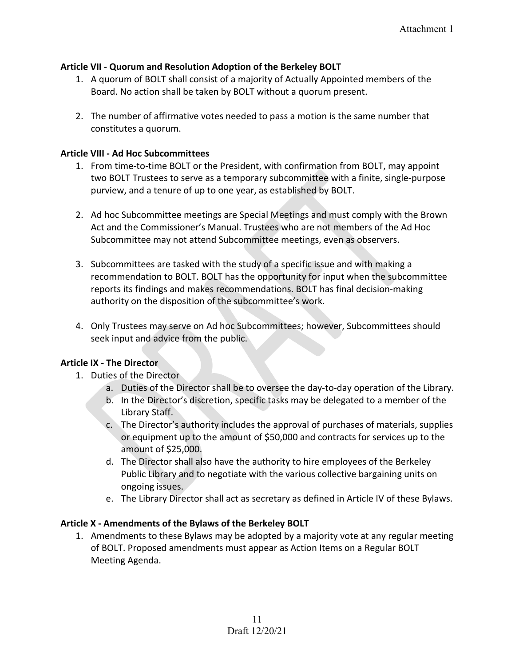## **Article VII - Quorum and Resolution Adoption of the Berkeley BOLT**

- 1. A quorum of BOLT shall consist of a majority of Actually Appointed members of the Board. No action shall be taken by BOLT without a quorum present.
- 2. The number of affirmative votes needed to pass a motion is the same number that constitutes a quorum.

## **Article VIII - Ad Hoc Subcommittees**

- 1. From time-to-time BOLT or the President, with confirmation from BOLT, may appoint two BOLT Trustees to serve as a temporary subcommittee with a finite, single-purpose purview, and a tenure of up to one year, as established by BOLT.
- 2. Ad hoc Subcommittee meetings are Special Meetings and must comply with the Brown Act and the Commissioner's Manual. Trustees who are not members of the Ad Hoc Subcommittee may not attend Subcommittee meetings, even as observers.
- 3. Subcommittees are tasked with the study of a specific issue and with making a recommendation to BOLT. BOLT has the opportunity for input when the subcommittee reports its findings and makes recommendations. BOLT has final decision-making authority on the disposition of the subcommittee's work.
- 4. Only Trustees may serve on Ad hoc Subcommittees; however, Subcommittees should seek input and advice from the public.

# **Article IX - The Director**

- 1. Duties of the Director
	- a. Duties of the Director shall be to oversee the day-to-day operation of the Library.
	- b. In the Director's discretion, specific tasks may be delegated to a member of the Library Staff.
	- c. The Director's authority includes the approval of purchases of materials, supplies or equipment up to the amount of \$50,000 and contracts for services up to the amount of \$25,000.
	- d. The Director shall also have the authority to hire employees of the Berkeley Public Library and to negotiate with the various collective bargaining units on ongoing issues.
	- e. The Library Director shall act as secretary as defined in Article IV of these Bylaws.

## **Article X - Amendments of the Bylaws of the Berkeley BOLT**

1. Amendments to these Bylaws may be adopted by a majority vote at any regular meeting of BOLT. Proposed amendments must appear as Action Items on a Regular BOLT Meeting Agenda.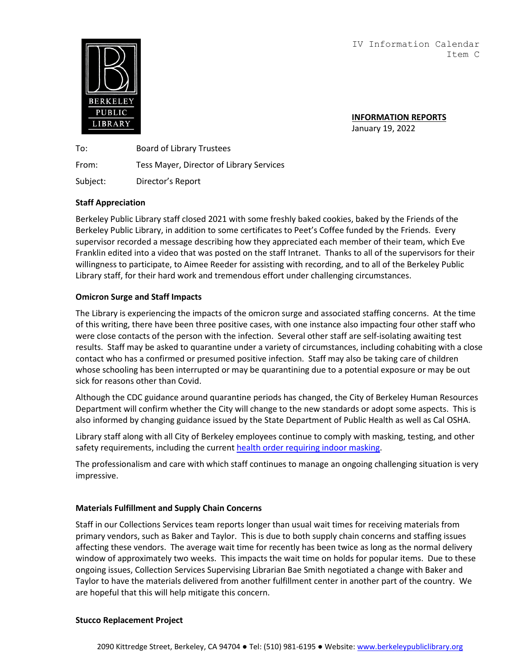IV Information Calendar Item C



**INFORMATION REPORTS** January 19, 2022

To: Board of Library Trustees From: Tess Mayer, Director of Library Services Subject: Director's Report

## **Staff Appreciation**

Berkeley Public Library staff closed 2021 with some freshly baked cookies, baked by the Friends of the Berkeley Public Library, in addition to some certificates to Peet's Coffee funded by the Friends. Every supervisor recorded a message describing how they appreciated each member of their team, which Eve Franklin edited into a video that was posted on the staff Intranet. Thanks to all of the supervisors for their willingness to participate, to Aimee Reeder for assisting with recording, and to all of the Berkeley Public Library staff, for their hard work and tremendous effort under challenging circumstances.

## **Omicron Surge and Staff Impacts**

The Library is experiencing the impacts of the omicron surge and associated staffing concerns. At the time of this writing, there have been three positive cases, with one instance also impacting four other staff who were close contacts of the person with the infection. Several other staff are self-isolating awaiting test results. Staff may be asked to quarantine under a variety of circumstances, including cohabiting with a close contact who has a confirmed or presumed positive infection. Staff may also be taking care of children whose schooling has been interrupted or may be quarantining due to a potential exposure or may be out sick for reasons other than Covid.

Although the CDC guidance around quarantine periods has changed, the City of Berkeley Human Resources Department will confirm whether the City will change to the new standards or adopt some aspects. This is also informed by changing guidance issued by the State Department of Public Health as well as Cal OSHA.

Library staff along with all City of Berkeley employees continue to comply with masking, testing, and other safety requirements, including the curren[t health order requiring indoor masking](https://www.cityofberkeley.info/uploadedFiles/Health_Human_Services/Public_Health/covid19/12.28.21%20Statement%20regarding%20increased%20covid%20transmission.pdf).

The professionalism and care with which staff continues to manage an ongoing challenging situation is very impressive.

#### **Materials Fulfillment and Supply Chain Concerns**

Staff in our Collections Services team reports longer than usual wait times for receiving materials from primary vendors, such as Baker and Taylor. This is due to both supply chain concerns and staffing issues affecting these vendors. The average wait time for recently has been twice as long as the normal delivery window of approximately two weeks. This impacts the wait time on holds for popular items. Due to these ongoing issues, Collection Services Supervising Librarian Bae Smith negotiated a change with Baker and Taylor to have the materials delivered from another fulfillment center in another part of the country. We are hopeful that this will help mitigate this concern.

#### **Stucco Replacement Project**